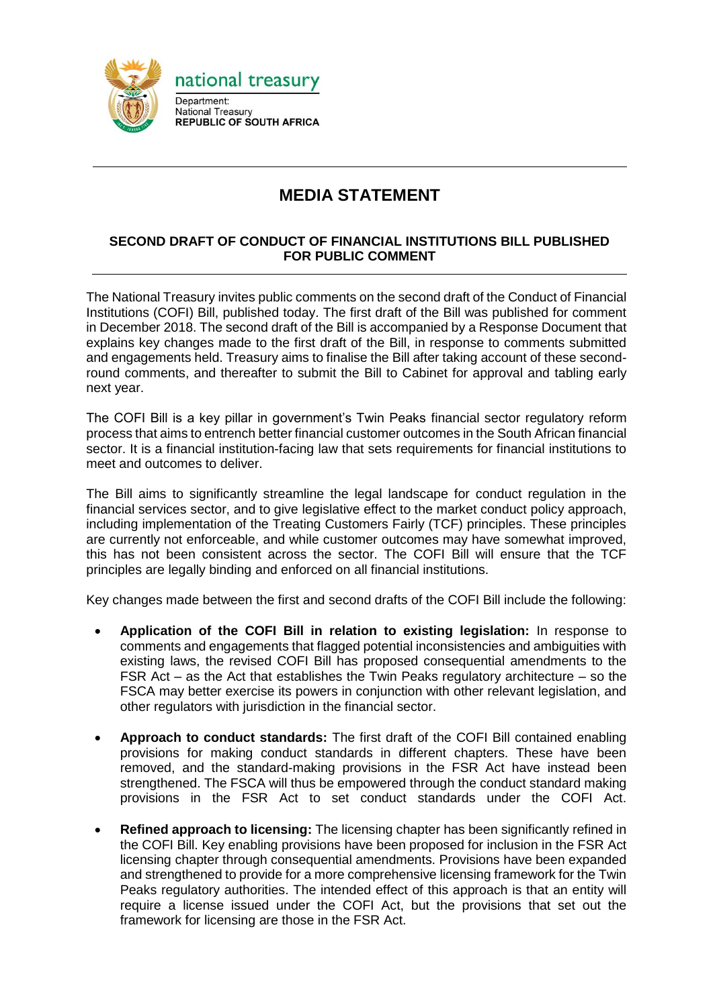

## **MEDIA STATEMENT**

## **SECOND DRAFT OF CONDUCT OF FINANCIAL INSTITUTIONS BILL PUBLISHED FOR PUBLIC COMMENT**

The National Treasury invites public comments on the second draft of the Conduct of Financial Institutions (COFI) Bill, published today. The first draft of the Bill was published for comment in December 2018. The second draft of the Bill is accompanied by a Response Document that explains key changes made to the first draft of the Bill, in response to comments submitted and engagements held. Treasury aims to finalise the Bill after taking account of these secondround comments, and thereafter to submit the Bill to Cabinet for approval and tabling early next year.

The COFI Bill is a key pillar in government's Twin Peaks financial sector regulatory reform process that aims to entrench better financial customer outcomes in the South African financial sector. It is a financial institution-facing law that sets requirements for financial institutions to meet and outcomes to deliver.

The Bill aims to significantly streamline the legal landscape for conduct regulation in the financial services sector, and to give legislative effect to the market conduct policy approach, including implementation of the Treating Customers Fairly (TCF) principles. These principles are currently not enforceable, and while customer outcomes may have somewhat improved, this has not been consistent across the sector. The COFI Bill will ensure that the TCF principles are legally binding and enforced on all financial institutions.

Key changes made between the first and second drafts of the COFI Bill include the following:

- **Application of the COFI Bill in relation to existing legislation:** In response to comments and engagements that flagged potential inconsistencies and ambiguities with existing laws, the revised COFI Bill has proposed consequential amendments to the FSR Act – as the Act that establishes the Twin Peaks regulatory architecture – so the FSCA may better exercise its powers in conjunction with other relevant legislation, and other regulators with jurisdiction in the financial sector.
- **Approach to conduct standards:** The first draft of the COFI Bill contained enabling provisions for making conduct standards in different chapters. These have been removed, and the standard-making provisions in the FSR Act have instead been strengthened. The FSCA will thus be empowered through the conduct standard making provisions in the FSR Act to set conduct standards under the COFI Act.
- **Refined approach to licensing:** The licensing chapter has been significantly refined in the COFI Bill. Key enabling provisions have been proposed for inclusion in the FSR Act licensing chapter through consequential amendments. Provisions have been expanded and strengthened to provide for a more comprehensive licensing framework for the Twin Peaks regulatory authorities. The intended effect of this approach is that an entity will require a license issued under the COFI Act, but the provisions that set out the framework for licensing are those in the FSR Act.